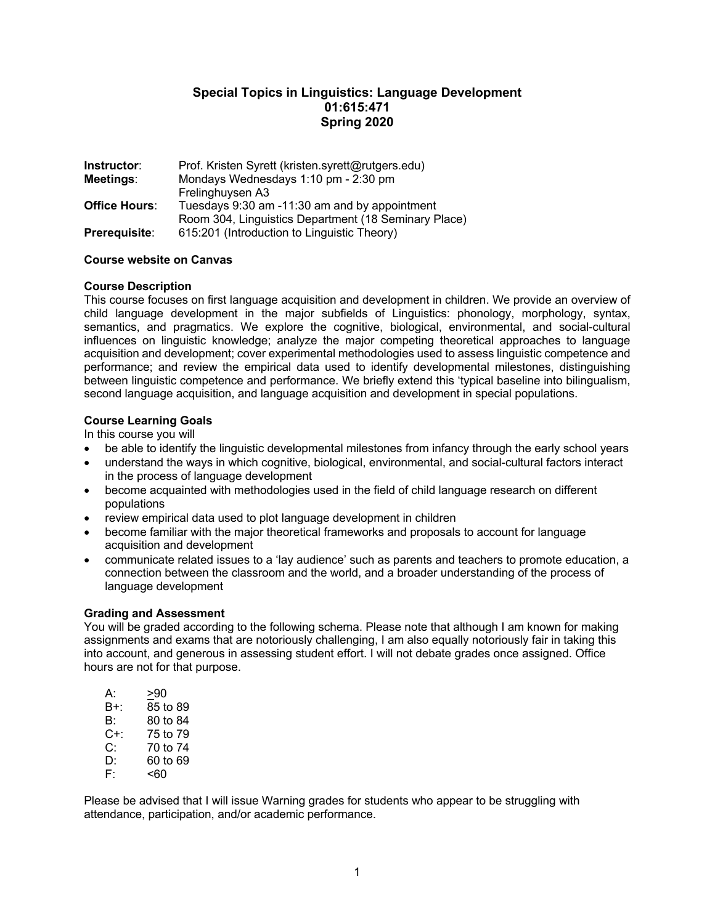# **Special Topics in Linguistics: Language Development 01:615:471 Spring 2020**

| Instructor:          | Prof. Kristen Syrett (kristen.syrett@rutgers.edu)    |  |
|----------------------|------------------------------------------------------|--|
| Meetings:            | Mondays Wednesdays 1:10 pm - 2:30 pm                 |  |
|                      | Frelinghuysen A3                                     |  |
| <b>Office Hours:</b> | Tuesdays 9:30 am -11:30 am and by appointment        |  |
|                      | Room 304, Linguistics Department (18 Seminary Place) |  |
| Prerequisite:        | 615:201 (Introduction to Linguistic Theory)          |  |

### **Course website on Canvas**

### **Course Description**

This course focuses on first language acquisition and development in children. We provide an overview of child language development in the major subfields of Linguistics: phonology, morphology, syntax, semantics, and pragmatics. We explore the cognitive, biological, environmental, and social-cultural influences on linguistic knowledge; analyze the major competing theoretical approaches to language acquisition and development; cover experimental methodologies used to assess linguistic competence and performance; and review the empirical data used to identify developmental milestones, distinguishing between linguistic competence and performance. We briefly extend this 'typical baseline into bilingualism, second language acquisition, and language acquisition and development in special populations.

### **Course Learning Goals**

In this course you will

- be able to identify the linguistic developmental milestones from infancy through the early school years
- understand the ways in which cognitive, biological, environmental, and social-cultural factors interact in the process of language development
- become acquainted with methodologies used in the field of child language research on different populations
- review empirical data used to plot language development in children
- become familiar with the major theoretical frameworks and proposals to account for language acquisition and development
- communicate related issues to a 'lay audience' such as parents and teachers to promote education, a connection between the classroom and the world, and a broader understanding of the process of language development

### **Grading and Assessment**

You will be graded according to the following schema. Please note that although I am known for making assignments and exams that are notoriously challenging, I am also equally notoriously fair in taking this into account, and generous in assessing student effort. I will not debate grades once assigned. Office hours are not for that purpose.

| А:  | >90      |
|-----|----------|
| B+: | 85 to 89 |
| B.  | 80 to 84 |
| C+: | 75 to 79 |
| C:  | 70 to 74 |
| D:  | 60 to 69 |
| F۰  | <60      |

Please be advised that I will issue Warning grades for students who appear to be struggling with attendance, participation, and/or academic performance.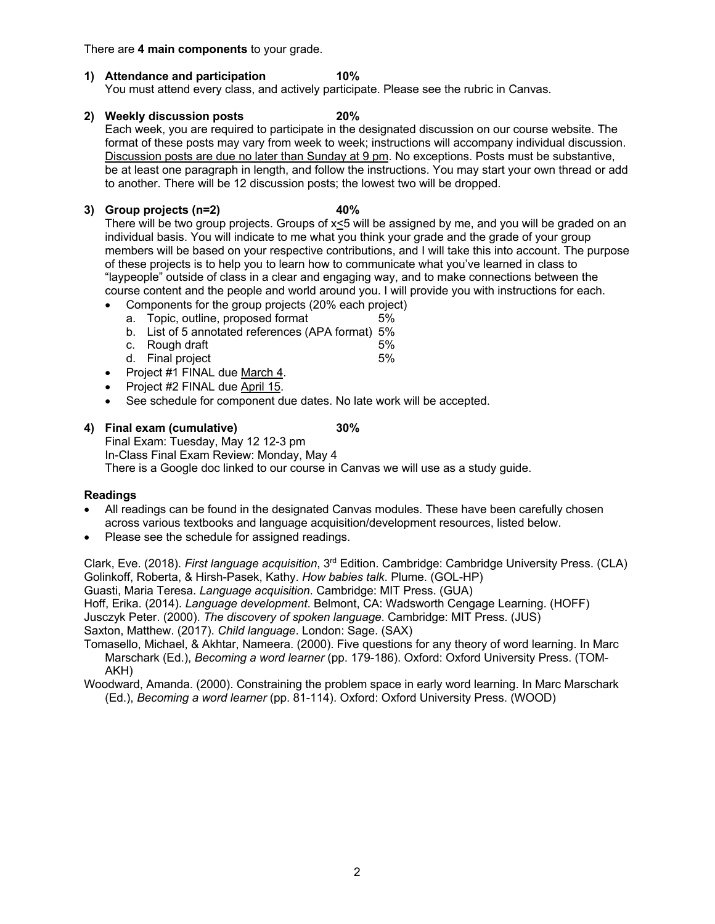There are **4 main components** to your grade.

# **1) Attendance and participation 10%**

You must attend every class, and actively participate. Please see the rubric in Canvas.

**2) Weekly discussion posts 20%**

Each week, you are required to participate in the designated discussion on our course website. The format of these posts may vary from week to week; instructions will accompany individual discussion. Discussion posts are due no later than Sunday at 9 pm. No exceptions. Posts must be substantive, be at least one paragraph in length, and follow the instructions. You may start your own thread or add to another. There will be 12 discussion posts; the lowest two will be dropped.

### **3) Group projects (n=2) 40%**

There will be two group projects. Groups of x<5 will be assigned by me, and you will be graded on an individual basis. You will indicate to me what you think your grade and the grade of your group members will be based on your respective contributions, and I will take this into account. The purpose of these projects is to help you to learn how to communicate what you've learned in class to "laypeople" outside of class in a clear and engaging way, and to make connections between the course content and the people and world around you. I will provide you with instructions for each.

- Components for the group projects (20% each project)
- a. Topic, outline, proposed format 5%
- b. List of 5 annotated references (APA format) 5%
- c. Rough draft 5%
- d. Final project 5%
- Project #1 FINAL due March 4.
- Project #2 FINAL due April 15.
- See schedule for component due dates. No late work will be accepted.

### **4) Final exam (cumulative) 30%**

Final Exam: Tuesday, May 12 12-3 pm In-Class Final Exam Review: Monday, May 4

There is a Google doc linked to our course in Canvas we will use as a study guide.

# **Readings**

- All readings can be found in the designated Canvas modules. These have been carefully chosen across various textbooks and language acquisition/development resources, listed below.
- Please see the schedule for assigned readings.

Clark, Eve. (2018). *First language acquisition*, 3rd Edition. Cambridge: Cambridge University Press. (CLA) Golinkoff, Roberta, & Hirsh-Pasek, Kathy. *How babies talk*. Plume. (GOL-HP) Guasti, Maria Teresa. *Language acquisition*. Cambridge: MIT Press. (GUA) Hoff, Erika. (2014). *Language development*. Belmont, CA: Wadsworth Cengage Learning. (HOFF) Jusczyk Peter. (2000). *The discovery of spoken language*. Cambridge: MIT Press. (JUS) Saxton, Matthew. (2017). *Child language*. London: Sage. (SAX)

Tomasello, Michael, & Akhtar, Nameera. (2000). Five questions for any theory of word learning. In Marc Marschark (Ed.), *Becoming a word learner* (pp. 179-186). Oxford: Oxford University Press. (TOM-AKH)

Woodward, Amanda. (2000). Constraining the problem space in early word learning. In Marc Marschark (Ed.), *Becoming a word learner* (pp. 81-114). Oxford: Oxford University Press. (WOOD)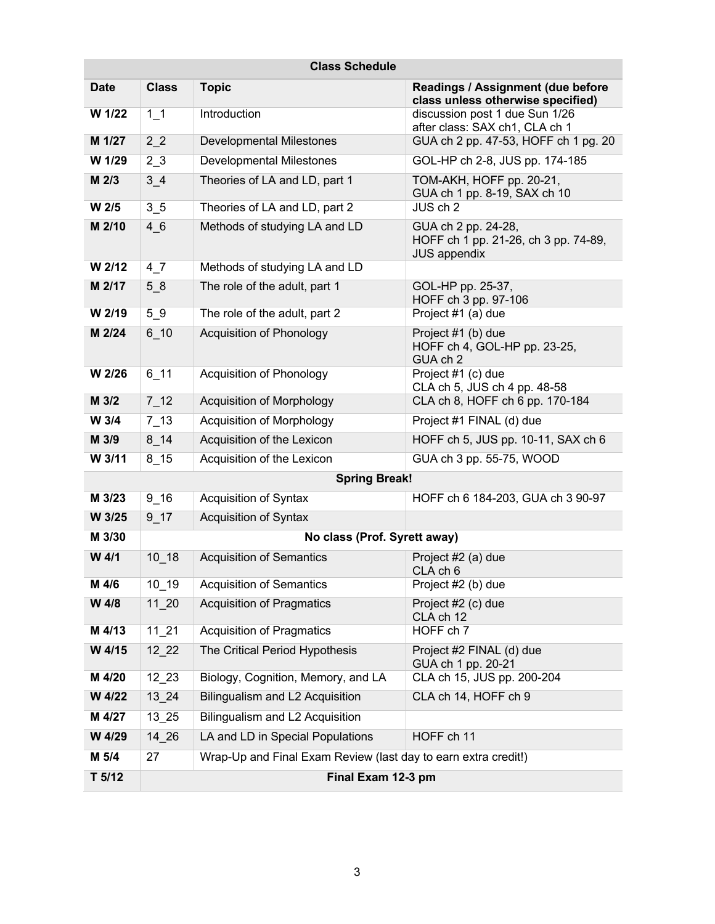| <b>Class Schedule</b> |                              |                                                                |                                                                                    |  |
|-----------------------|------------------------------|----------------------------------------------------------------|------------------------------------------------------------------------------------|--|
| <b>Date</b>           | <b>Class</b>                 | <b>Topic</b>                                                   | Readings / Assignment (due before<br>class unless otherwise specified)             |  |
| W 1/22                | $1_{1}$                      | Introduction                                                   | discussion post 1 due Sun 1/26<br>after class: SAX ch1, CLA ch 1                   |  |
| M 1/27                | $2^{2}$                      | <b>Developmental Milestones</b>                                | GUA ch 2 pp. 47-53, HOFF ch 1 pg. 20                                               |  |
| W 1/29                | 2 <sub>3</sub>               | <b>Developmental Milestones</b>                                | GOL-HP ch 2-8, JUS pp. 174-185                                                     |  |
| M 2/3                 | 3 <sub>1</sub> 4             | Theories of LA and LD, part 1                                  | TOM-AKH, HOFF pp. 20-21,<br>GUA ch 1 pp. 8-19, SAX ch 10                           |  |
| W 2/5                 | 3 <sub>5</sub>               | Theories of LA and LD, part 2                                  | JUS ch 2                                                                           |  |
| M 2/10                | 46                           | Methods of studying LA and LD                                  | GUA ch 2 pp. 24-28,<br>HOFF ch 1 pp. 21-26, ch 3 pp. 74-89,<br><b>JUS appendix</b> |  |
| W 2/12                | $4-7$                        | Methods of studying LA and LD                                  |                                                                                    |  |
| M 2/17                | 58                           | The role of the adult, part 1                                  | GOL-HP pp. 25-37,<br>HOFF ch 3 pp. 97-106                                          |  |
| W 2/19                | 59                           | The role of the adult, part 2                                  | Project #1 (a) due                                                                 |  |
| M 2/24                | $6 - 10$                     | Acquisition of Phonology                                       | Project #1 (b) due<br>HOFF ch 4, GOL-HP pp. 23-25,<br>GUA ch 2                     |  |
| W 2/26                | $6 - 11$                     | <b>Acquisition of Phonology</b>                                | Project #1 (c) due<br>CLA ch 5, JUS ch 4 pp. 48-58                                 |  |
| M 3/2                 | $7-12$                       | Acquisition of Morphology                                      | CLA ch 8, HOFF ch 6 pp. 170-184                                                    |  |
| W 3/4                 | $7-13$                       | Acquisition of Morphology                                      | Project #1 FINAL (d) due                                                           |  |
| M 3/9                 | $8 - 14$                     | Acquisition of the Lexicon                                     | HOFF ch 5, JUS pp. 10-11, SAX ch 6                                                 |  |
| W 3/11                | $8$ 15                       | Acquisition of the Lexicon                                     | GUA ch 3 pp. 55-75, WOOD                                                           |  |
| <b>Spring Break!</b>  |                              |                                                                |                                                                                    |  |
| M 3/23                | $9 - 16$                     | <b>Acquisition of Syntax</b>                                   | HOFF ch 6 184-203, GUA ch 3 90-97                                                  |  |
| W 3/25                | $9 - 17$                     | <b>Acquisition of Syntax</b>                                   |                                                                                    |  |
| M 3/30                | No class (Prof. Syrett away) |                                                                |                                                                                    |  |
| W 4/1                 | $10 - 18$                    | <b>Acquisition of Semantics</b>                                | Project #2 (a) due<br>CLA ch 6                                                     |  |
| M 4/6                 | $10 - 19$                    | <b>Acquisition of Semantics</b>                                | Project #2 (b) due                                                                 |  |
| W 4/8                 | 11 20                        | <b>Acquisition of Pragmatics</b>                               | Project #2 (c) due<br>CLA ch 12                                                    |  |
| M 4/13                | $11 \ 21$                    | <b>Acquisition of Pragmatics</b>                               | HOFF ch 7                                                                          |  |
| W 4/15                | 12 22                        | The Critical Period Hypothesis                                 | Project #2 FINAL (d) due<br>GUA ch 1 pp. 20-21                                     |  |
| M 4/20                | $12$ $23$                    | Biology, Cognition, Memory, and LA                             | CLA ch 15, JUS pp. 200-204                                                         |  |
| W 4/22                | 13 24                        | Bilingualism and L2 Acquisition                                | CLA ch 14, HOFF ch 9                                                               |  |
| M 4/27                | 13 25                        | Bilingualism and L2 Acquisition                                |                                                                                    |  |
| W 4/29                | $14 - 26$                    | LA and LD in Special Populations                               | HOFF ch 11                                                                         |  |
| M 5/4                 | 27                           | Wrap-Up and Final Exam Review (last day to earn extra credit!) |                                                                                    |  |
| T <sub>5/12</sub>     |                              | Final Exam 12-3 pm                                             |                                                                                    |  |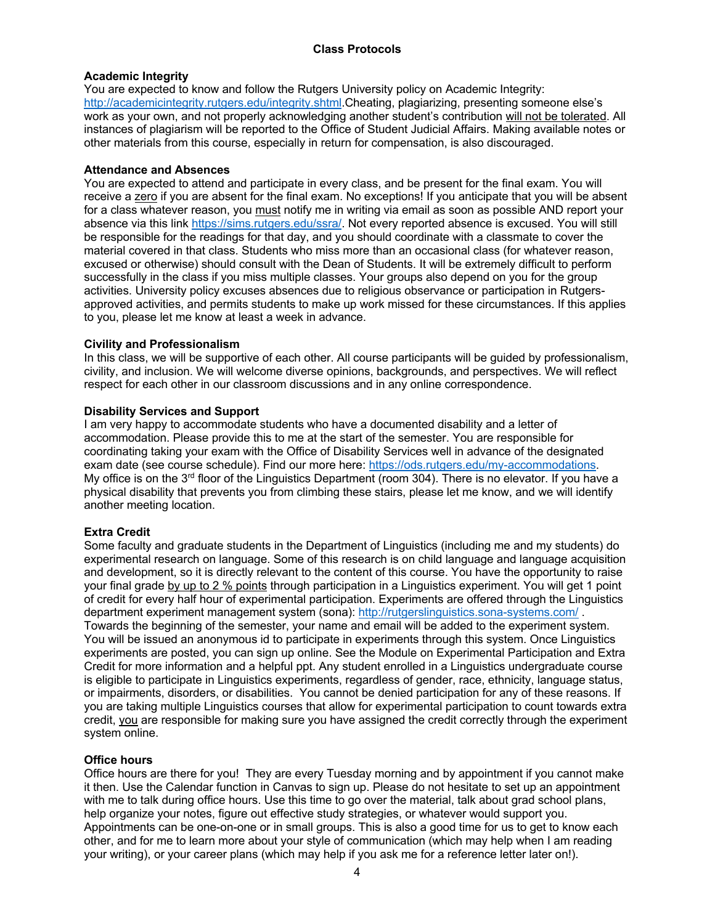# **Academic Integrity**

You are expected to know and follow the Rutgers University policy on Academic Integrity: http://academicintegrity.rutgers.edu/integrity.shtml.Cheating, plagiarizing, presenting someone else's work as your own, and not properly acknowledging another student's contribution will not be tolerated. All instances of plagiarism will be reported to the Office of Student Judicial Affairs. Making available notes or other materials from this course, especially in return for compensation, is also discouraged.

# **Attendance and Absences**

You are expected to attend and participate in every class, and be present for the final exam. You will receive a zero if you are absent for the final exam. No exceptions! If you anticipate that you will be absent for a class whatever reason, you must notify me in writing via email as soon as possible AND report your absence via this link https://sims.rutgers.edu/ssra/. Not every reported absence is excused. You will still be responsible for the readings for that day, and you should coordinate with a classmate to cover the material covered in that class. Students who miss more than an occasional class (for whatever reason, excused or otherwise) should consult with the Dean of Students. It will be extremely difficult to perform successfully in the class if you miss multiple classes. Your groups also depend on you for the group activities. University policy excuses absences due to religious observance or participation in Rutgersapproved activities, and permits students to make up work missed for these circumstances. If this applies to you, please let me know at least a week in advance.

# **Civility and Professionalism**

In this class, we will be supportive of each other. All course participants will be guided by professionalism, civility, and inclusion. We will welcome diverse opinions, backgrounds, and perspectives. We will reflect respect for each other in our classroom discussions and in any online correspondence.

# **Disability Services and Support**

I am very happy to accommodate students who have a documented disability and a letter of accommodation. Please provide this to me at the start of the semester. You are responsible for coordinating taking your exam with the Office of Disability Services well in advance of the designated exam date (see course schedule). Find our more here: https://ods.rutgers.edu/my-accommodations. My office is on the  $3<sup>rd</sup>$  floor of the Linguistics Department (room 304). There is no elevator. If you have a physical disability that prevents you from climbing these stairs, please let me know, and we will identify another meeting location.

# **Extra Credit**

Some faculty and graduate students in the Department of Linguistics (including me and my students) do experimental research on language. Some of this research is on child language and language acquisition and development, so it is directly relevant to the content of this course. You have the opportunity to raise your final grade by up to 2 % points through participation in a Linguistics experiment. You will get 1 point of credit for every half hour of experimental participation. Experiments are offered through the Linguistics department experiment management system (sona): http://rutgerslinguistics.sona-systems.com/ . Towards the beginning of the semester, your name and email will be added to the experiment system. You will be issued an anonymous id to participate in experiments through this system. Once Linguistics experiments are posted, you can sign up online. See the Module on Experimental Participation and Extra Credit for more information and a helpful ppt. Any student enrolled in a Linguistics undergraduate course is eligible to participate in Linguistics experiments, regardless of gender, race, ethnicity, language status, or impairments, disorders, or disabilities. You cannot be denied participation for any of these reasons. If you are taking multiple Linguistics courses that allow for experimental participation to count towards extra credit, you are responsible for making sure you have assigned the credit correctly through the experiment system online.

# **Office hours**

Office hours are there for you! They are every Tuesday morning and by appointment if you cannot make it then. Use the Calendar function in Canvas to sign up. Please do not hesitate to set up an appointment with me to talk during office hours. Use this time to go over the material, talk about grad school plans, help organize your notes, figure out effective study strategies, or whatever would support you. Appointments can be one-on-one or in small groups. This is also a good time for us to get to know each other, and for me to learn more about your style of communication (which may help when I am reading your writing), or your career plans (which may help if you ask me for a reference letter later on!).